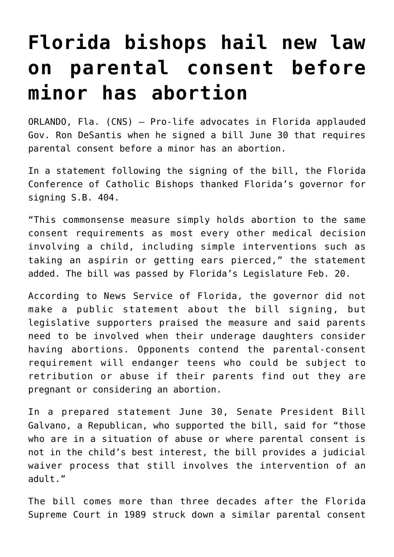## **[Florida bishops hail new law](https://www.osvnews.com/2020/07/02/florida-bishops-hail-new-law-on-parental-consent-before-minor-has-abortion/) [on parental consent before](https://www.osvnews.com/2020/07/02/florida-bishops-hail-new-law-on-parental-consent-before-minor-has-abortion/) [minor has abortion](https://www.osvnews.com/2020/07/02/florida-bishops-hail-new-law-on-parental-consent-before-minor-has-abortion/)**

ORLANDO, Fla. (CNS) — Pro-life advocates in Florida applauded Gov. Ron DeSantis when he signed a bill June 30 that requires parental consent before a minor has an abortion.

In a statement following the signing of the bill, the Florida Conference of Catholic Bishops thanked Florida's governor for signing S.B. 404.

"This commonsense measure simply holds abortion to the same consent requirements as most every other medical decision involving a child, including simple interventions such as taking an aspirin or getting ears pierced," the statement added. The bill was passed by Florida's Legislature Feb. 20.

According to News Service of Florida, the governor did not make a public statement about the bill signing, but legislative supporters praised the measure and said parents need to be involved when their underage daughters consider having abortions. Opponents contend the parental-consent requirement will endanger teens who could be subject to retribution or abuse if their parents find out they are pregnant or considering an abortion.

In a prepared statement June 30, Senate President Bill Galvano, a Republican, who supported the bill, said for "those who are in a situation of abuse or where parental consent is not in the child's best interest, the bill provides a judicial waiver process that still involves the intervention of an adult."

The bill comes more than three decades after the Florida Supreme Court in 1989 struck down a similar parental consent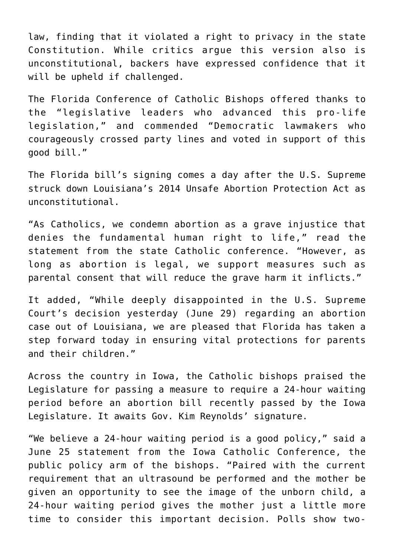law, finding that it violated a right to privacy in the state Constitution. While critics argue this version also is unconstitutional, backers have expressed confidence that it will be upheld if challenged.

The Florida Conference of Catholic Bishops offered thanks to the "legislative leaders who advanced this pro-life legislation," and commended "Democratic lawmakers who courageously crossed party lines and voted in support of this good bill."

The Florida bill's signing comes a day after the U.S. Supreme struck down Louisiana's 2014 Unsafe Abortion Protection Act as unconstitutional.

"As Catholics, we condemn abortion as a grave injustice that denies the fundamental human right to life," read the statement from the state Catholic conference. "However, as long as abortion is legal, we support measures such as parental consent that will reduce the grave harm it inflicts."

It added, "While deeply disappointed in the U.S. Supreme Court's decision yesterday (June 29) regarding an abortion case out of Louisiana, we are pleased that Florida has taken a step forward today in ensuring vital protections for parents and their children."

Across the country in Iowa, the Catholic bishops praised the Legislature for passing a measure to require a 24-hour waiting period before an abortion bill recently passed by the Iowa Legislature. It awaits Gov. Kim Reynolds' signature.

"We believe a 24-hour waiting period is a good policy," said a June 25 statement from the Iowa Catholic Conference, the public policy arm of the bishops. "Paired with the current requirement that an ultrasound be performed and the mother be given an opportunity to see the image of the unborn child, a 24-hour waiting period gives the mother just a little more time to consider this important decision. Polls show two